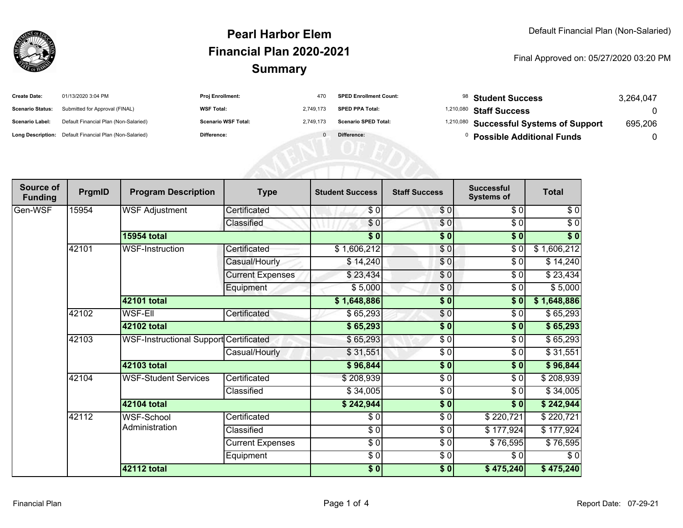

### **SummaryPearl Harbor ElemFinancial Plan 2020-2021**

#### Final Approved on: 05/27/2020 03:20 PM

| <b>Create Date:</b>     | 01/13/2020 3:04 PM                                      | Proj Enrollment:           | 470       | <b>SPED Enrollment Count:</b> | <sup>98</sup> Student Success           | 3,264,047 |
|-------------------------|---------------------------------------------------------|----------------------------|-----------|-------------------------------|-----------------------------------------|-----------|
| <b>Scenario Status:</b> | Submitted for Approval (FINAL)                          | <b>WSF Total:</b>          | 2,749,173 | <b>SPED PPA Total:</b>        | <sup>1,210,080</sup> Staff Success      |           |
| <b>Scenario Label:</b>  | Default Financial Plan (Non-Salaried)                   | <b>Scenario WSF Total:</b> | 2,749,173 | <b>Scenario SPED Total:</b>   | 1,210,080 Successful Systems of Support | 695,206   |
|                         | Long Description: Default Financial Plan (Non-Salaried) | Difference:                |           | Difference:                   | <b>Possible Additional Funds</b>        |           |
|                         |                                                         |                            |           |                               |                                         |           |
|                         |                                                         |                            |           |                               |                                         |           |
|                         |                                                         |                            |           |                               |                                         |           |

| Source of<br><b>Funding</b> | PrgmID | <b>Program Description</b>             | <b>Type</b>             | <b>Student Success</b> | <b>Staff Success</b> | <b>Successful</b><br><b>Systems of</b> | <b>Total</b> |
|-----------------------------|--------|----------------------------------------|-------------------------|------------------------|----------------------|----------------------------------------|--------------|
| Gen-WSF                     | 15954  | <b>WSF Adjustment</b>                  | Certificated            | \$0                    | \$0                  | \$0                                    | \$0          |
|                             |        |                                        | Classified              | \$0                    | $\frac{1}{\sqrt{2}}$ | $\sqrt{6}$                             | $\sqrt{6}$   |
|                             |        | <b>15954 total</b>                     |                         | $\sqrt{5}$             | \$0                  | $\overline{\bullet}$                   | \$0          |
|                             | 42101  | <b>WSF-Instruction</b>                 | Certificated            | \$1,606,212            | \$0                  | $\frac{1}{\sqrt{2}}$                   | \$1,606,212  |
|                             |        |                                        | Casual/Hourly           | \$14,240               | \$0                  | \$0                                    | \$14,240     |
|                             |        |                                        | <b>Current Expenses</b> | \$23,434               | \$0                  | \$0                                    | \$23,434     |
|                             |        |                                        | Equipment               | \$5,000                | \$0                  | \$0                                    | \$5,000      |
|                             |        | 42101 total                            |                         | \$1,648,886            | $\overline{\bullet}$ | $\overline{\$0}$                       | \$1,648,886  |
|                             | 42102  | <b>WSF-Ell</b>                         | Certificated            | \$65,293               | $\frac{6}{9}$        | \$0                                    | \$65,293     |
|                             |        | 42102 total                            |                         | \$65,293               | $\frac{1}{2}$        | \$0                                    | \$65,293     |
|                             | 42103  | WSF-Instructional Support Certificated |                         | \$65,293               | \$0                  | \$0                                    | \$65,293     |
|                             |        |                                        | Casual/Hourly           | \$31,551               | $\frac{3}{6}$        | \$0                                    | \$31,551     |
|                             |        | 42103 total                            |                         | \$96,844               | $\frac{1}{2}$        | \$0                                    | \$96,844     |
|                             | 42104  | <b>WSF-Student Services</b>            | Certificated            | \$208,939              | $\frac{1}{\epsilon}$ | \$0                                    | \$208,939    |
|                             |        |                                        | Classified              | \$34,005               | \$0                  | \$0                                    | \$34,005     |
|                             |        | 42104 total                            |                         | \$242,944              | $\frac{1}{2}$        | \$0                                    | \$242,944    |
|                             | 42112  | WSF-School<br>Administration           | Certificated            | \$0                    | $\frac{3}{6}$        | \$220,721                              | \$220,721    |
|                             |        |                                        | Classified              | $\sqrt{6}$             | $\frac{1}{\epsilon}$ | \$177,924                              | \$177,924    |
|                             |        |                                        | <b>Current Expenses</b> | $\sqrt{6}$             | \$0                  | \$76,595                               | \$76,595     |
|                             |        |                                        | Equipment               | $\frac{6}{6}$          | $\sqrt{6}$           | \$0                                    | \$0          |
|                             |        | 42112 total                            |                         | \$0]                   | $\sqrt{6}$           | $\sqrt{475,240}$                       | \$475,240    |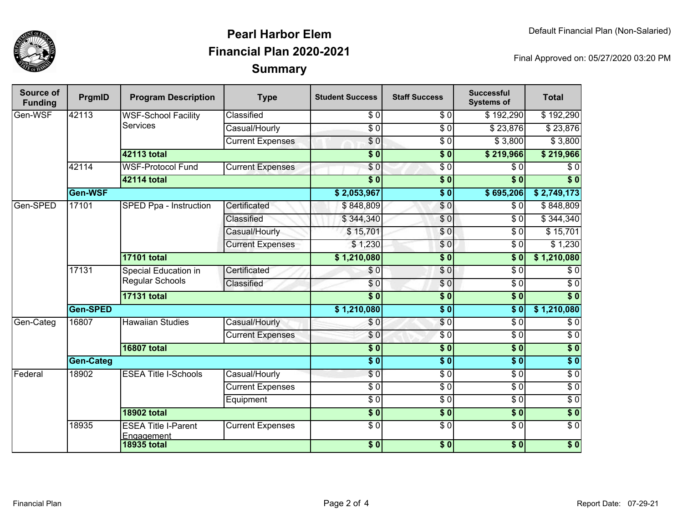

### **SummaryPearl Harbor ElemFinancial Plan 2020-2021**

Final Approved on: 05/27/2020 03:20 PM

| Source of<br><b>Funding</b> | PrgmID           | <b>Program Description</b>                     | <b>Type</b>             | <b>Student Success</b>    | <b>Staff Success</b> | <b>Successful</b><br><b>Systems of</b> | <b>Total</b>     |
|-----------------------------|------------------|------------------------------------------------|-------------------------|---------------------------|----------------------|----------------------------------------|------------------|
| Gen-WSF                     | 42113            | <b>WSF-School Facility</b><br><b>Services</b>  | Classified              | \$0                       | $\sqrt{6}$           | \$192,290                              | \$192,290        |
|                             |                  |                                                | Casual/Hourly           | $\overline{30}$           | $\overline{\$0}$     | $\sqrt{$23,876}$                       | \$23,876         |
|                             |                  |                                                | <b>Current Expenses</b> | \$0                       | $\sqrt{6}$           | \$3,800                                | \$3,800          |
|                             |                  | 42113 total                                    |                         | $\overline{\$0}$          | $\overline{\$0}$     | \$219,966                              | \$219,966        |
|                             | 42114            | <b>WSF-Protocol Fund</b>                       | <b>Current Expenses</b> | $\overline{\$0}$          | $\overline{\$0}$     | \$0                                    | $\overline{\$0}$ |
|                             |                  | 42114 total                                    |                         | $\overline{\textbf{S}^0}$ | $\overline{\$0}$     | $\overline{\$0}$                       | $\overline{\$0}$ |
|                             | Gen-WSF          |                                                |                         | \$2,053,967               | $\overline{\$0}$     | \$695,206                              | \$2,749,173      |
| Gen-SPED                    | 17101            | SPED Ppa - Instruction                         | Certificated            | \$848,809                 | $\overline{\$0}$     | $\overline{\$0}$                       | \$848,809        |
|                             |                  |                                                | Classified              | \$344,340                 | \$0                  | \$0                                    | \$344,340        |
|                             |                  |                                                | Casual/Hourly           | \$15,701                  | \$0                  | $\overline{\$0}$                       | \$15,701         |
|                             |                  |                                                | <b>Current Expenses</b> | \$1,230                   | \$0                  | \$0                                    | \$1,230          |
|                             |                  | <b>17101 total</b>                             |                         | \$1,210,080               | $\overline{\$0}$     | $\overline{\$0}$                       | \$1,210,080      |
|                             | 17131            | <b>Special Education in</b><br>Regular Schools | Certificated            | \$0                       | \$0                  | $\overline{30}$                        | $\overline{\$0}$ |
|                             |                  |                                                | Classified              | \$0                       | $\sqrt{0}$           | $\overline{\$0}$                       | $\overline{\$0}$ |
|                             |                  | <b>17131 total</b>                             |                         | $\overline{\bullet}$      | $\overline{\$0}$     | $\overline{\$0}$                       | $\overline{\$0}$ |
|                             | Gen-SPED         |                                                |                         | \$1,210,080               | $\overline{\$0}$     | $\overline{\$0}$                       | \$1,210,080      |
| Gen-Categ                   | 16807            | <b>Hawaiian Studies</b>                        | Casual/Hourly           | \$0                       | \$0                  | $\overline{30}$                        | $\overline{$}0$  |
|                             |                  |                                                | <b>Current Expenses</b> | \$0                       | $\overline{30}$      | $\overline{\$0}$                       | $\overline{$}0$  |
|                             |                  | <b>16807 total</b>                             |                         | $\overline{\$0}$          | $\overline{\$0}$     | $\overline{\$0}$                       | $\overline{\$0}$ |
|                             | <b>Gen-Categ</b> |                                                |                         | $\overline{\$0}$          | $\overline{\$0}$     | $\overline{\$0}$                       | $\overline{\$0}$ |
| Federal                     | 18902            | <b>ESEA Title I-Schools</b>                    | Casual/Hourly           | $\sqrt{50}$               | $\overline{\$0}$     | $\overline{30}$                        | $\overline{\$0}$ |
|                             |                  |                                                | <b>Current Expenses</b> | $\overline{50}$           | $\overline{\$0}$     | $\overline{30}$                        | $\overline{60}$  |
|                             |                  |                                                | Equipment               | $\overline{\$0}$          | $\overline{\$0}$     | $\overline{30}$                        | $\overline{$}0$  |
|                             |                  | <b>18902 total</b>                             |                         | $\overline{\$0}$          | $\overline{\$0}$     | $\overline{\$0}$                       | $\overline{\$0}$ |
|                             | 18935            | <b>ESEA Title I-Parent</b><br>Engagement       | <b>Current Expenses</b> | $\overline{\$0}$          | $\overline{\$0}$     | $\overline{30}$                        | $\sqrt{6}$       |
|                             |                  | <b>18935 total</b>                             |                         | \$0                       | \$0                  | \$0                                    | \$0              |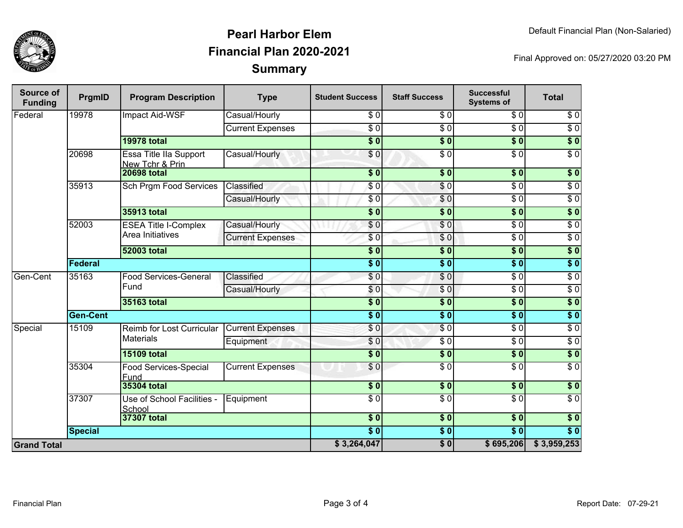

## **SummaryPearl Harbor ElemFinancial Plan 2020-2021**

Final Approved on: 05/27/2020 03:20 PM

| Source of<br><b>Funding</b> | PrgmID          | <b>Program Description</b>                      | <b>Type</b>             | <b>Student Success</b>     | <b>Staff Success</b>      | <b>Successful</b><br><b>Systems of</b> | <b>Total</b>     |
|-----------------------------|-----------------|-------------------------------------------------|-------------------------|----------------------------|---------------------------|----------------------------------------|------------------|
| Federal                     | 19978           | Impact Aid-WSF                                  | Casual/Hourly           | \$0                        | $\overline{\$0}$          | $\overline{\$0}$                       | $\overline{\$0}$ |
|                             |                 |                                                 | <b>Current Expenses</b> | $\sqrt{6}$                 | $\overline{50}$           | $\overline{\$0}$                       | $\overline{\$0}$ |
|                             |                 | <b>19978 total</b>                              |                         | $\overline{\bullet}$ 0     | $\overline{\$0}$          | $\overline{\$0}$                       | $\overline{\$0}$ |
|                             | 20698           | Essa Title IIa Support<br>New Tchr & Prin       | Casual/Hourly           | \$0                        | $\overline{\$0}$          | $\overline{\$0}$                       | $\overline{60}$  |
|                             |                 | <b>20698 total</b>                              |                         | $\frac{1}{2}$              | $\frac{1}{6}$             | $\overline{\$0}$                       | $\sqrt{6}$       |
|                             | 35913           | Sch Prgm Food Services                          | Classified              | \$0                        | $\overline{\$0}$          | $\overline{\$0}$                       | $\overline{\$0}$ |
|                             |                 |                                                 | Casual/Hourly           | \$0                        | \$0                       | $\overline{\$0}$                       | $\overline{\$0}$ |
|                             |                 | <b>35913 total</b>                              |                         | $\overline{\$0}$           | $\overline{\$0}$          | $\overline{\$0}$                       | $\overline{\$0}$ |
|                             | 52003           | <b>ESEA Title I-Complex</b><br>Area Initiatives | Casual/Hourly           | $\frac{6}{6}$              | $\overline{\$0}$          | $\overline{\$0}$                       | $\overline{\$0}$ |
|                             |                 |                                                 | <b>Current Expenses</b> | \$0                        | \$0                       | $\overline{\$0}$                       | $\overline{\$0}$ |
|                             |                 | <b>52003 total</b>                              |                         | $\overline{\$0}$           | $\overline{\$0}$          | $\overline{\$0}$                       | $\overline{\$0}$ |
|                             | Federal         |                                                 |                         |                            | $\overline{\$0}$          | $\overline{\$0}$                       | $\sqrt{6}$       |
| Gen-Cent                    | 35163           | Food Services-General<br>Fund                   | Classified              | \$0                        | $\sqrt{6}$                | $\overline{\$0}$                       | $\overline{\$0}$ |
|                             |                 |                                                 | Casual/Hourly           | \$0                        | \$0                       | $\overline{\$0}$                       | $\overline{\$0}$ |
|                             |                 | <b>35163 total</b>                              |                         | $\frac{1}{2}$              | $\overline{\$0}$          | $\overline{\$0}$                       | $\sqrt{6}$       |
|                             | <b>Gen-Cent</b> |                                                 | $\overline{\bullet}$    | $\overline{\bullet}$       | $\overline{\textbf{S}^0}$ | $\overline{\$0}$                       |                  |
| Special                     | 15109           | Reimb for Lost Curricular                       | <b>Current Expenses</b> | $\frac{6}{3}$              | $\overline{\$0}$          | $\overline{\$0}$                       | $\overline{\$0}$ |
|                             |                 | <b>Materials</b>                                | Equipment               | \$0                        | \$0                       | \$0                                    | $\overline{\$0}$ |
|                             |                 | <b>15109 total</b>                              |                         | $\overline{\phantom{a}}$   | $\frac{1}{6}$             | 30                                     | $\sqrt{6}$       |
|                             | 35304           | Food Services-Special<br>Fund                   | <b>Current Expenses</b> | \$0                        | $\overline{\$0}$          | $\overline{\$0}$                       | $\overline{\$0}$ |
|                             |                 | <b>35304 total</b>                              |                         | $\frac{1}{2}$              | $\frac{1}{2}$             | $\overline{\$0}$                       | $\sqrt{6}$       |
|                             | 37307           | Use of School Facilities -<br>School            | Equipment               | $\overline{\frac{3}{2}}$   | $\sqrt{6}$                | $\sqrt{6}$                             | $\sqrt{6}$       |
|                             |                 | 37307 total                                     |                         | $\overline{\bullet}$ 0     | $\overline{\$0}$          | $\overline{\$0}$                       | $\overline{\$0}$ |
|                             | <b>Special</b>  |                                                 |                         | $\overline{\phantom{0}50}$ | $\sqrt{6}$                | $\overline{\$0}$                       | $\overline{\$0}$ |
| <b>Grand Total</b>          |                 |                                                 |                         | \$3,264,047                | $\overline{\$0}$          | \$695,206                              | \$3,959,253      |